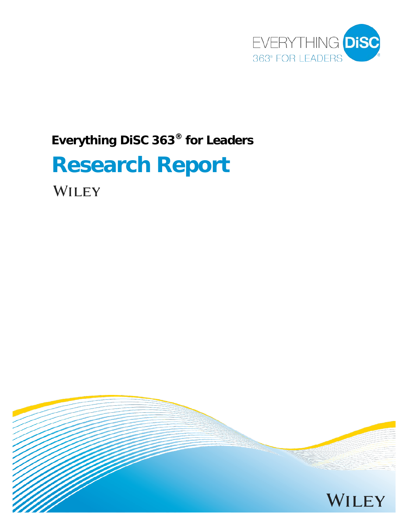

# **Everything DiSC 363® for Leaders**

# **Research Report**

WILEY

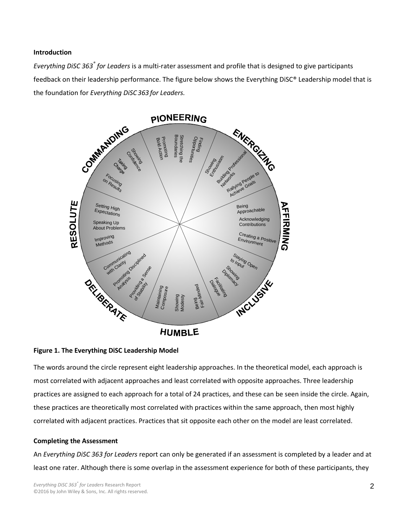#### **Introduction**

*Everything DiSC 363® for Leaders* is a multi-rater assessment and profile that is designed to give participants feedback on their leadership performance. The figure below shows the Everything DiSC® Leadership model that is the foundation for *Everything DiSC363 for Leaders.*



#### **Figure 1. The Everything DiSC Leadership Model**

The words around the circle represent eight leadership approaches. In the theoretical model, each approach is most correlated with adjacent approaches and least correlated with opposite approaches. Three leadership practices are assigned to each approach for a total of 24 practices, and these can be seen inside the circle. Again, these practices are theoretically most correlated with practices within the same approach, then most highly correlated with adjacent practices. Practices that sit opposite each other on the model are least correlated.

# **Completing the Assessment**

An *Everything DiSC 363 for Leaders* report can only be generated if an assessment is completed by a leader and at least one rater. Although there is some overlap in the assessment experience for both of these participants, they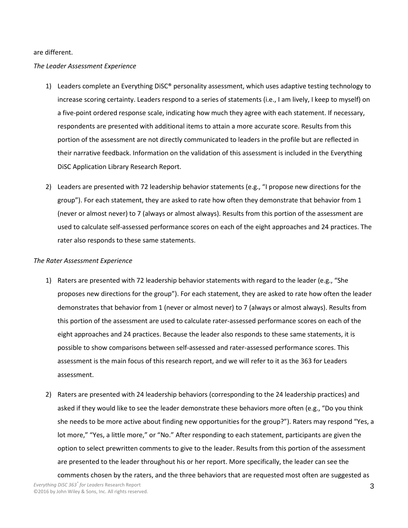#### are different.

### *The Leader Assessment Experience*

- 1) Leaders complete an Everything DiSC® personality assessment, which uses adaptive testing technology to increase scoring certainty. Leaders respond to a series of statements (i.e., I am lively, I keep to myself) on a five-point ordered response scale, indicating how much they agree with each statement. If necessary, respondents are presented with additional items to attain a more accurate score. Results from this portion of the assessment are not directly communicated to leaders in the profile but are reflected in their narrative feedback. Information on the validation of this assessment is included in the Everything DiSC Application Library Research Report.
- 2) Leaders are presented with 72 leadership behavior statements (e.g., "I propose new directions for the group"). For each statement, they are asked to rate how often they demonstrate that behavior from 1 (never or almost never) to 7 (always or almost always). Results from this portion of the assessment are used to calculate self-assessed performance scores on each of the eight approaches and 24 practices. The rater also responds to these same statements.

## *The Rater Assessment Experience*

- 1) Raters are presented with 72 leadership behavior statements with regard to the leader (e.g., "She proposes new directions for the group"). For each statement, they are asked to rate how often the leader demonstrates that behavior from 1 (never or almost never) to 7 (always or almost always). Results from this portion of the assessment are used to calculate rater-assessed performance scores on each of the eight approaches and 24 practices. Because the leader also responds to these same statements, it is possible to show comparisons between self-assessed and rater-assessed performance scores. This assessment is the main focus of this research report, and we will refer to it as the 363 for Leaders assessment.
- 2) Raters are presented with 24 leadership behaviors (corresponding to the 24 leadership practices) and asked if they would like to see the leader demonstrate these behaviors more often (e.g., "Do you think she needs to be more active about finding new opportunities for the group?"). Raters may respond "Yes, a lot more," "Yes, a little more," or "No." After responding to each statement, participants are given the option to select prewritten comments to give to the leader. Results from this portion of the assessment are presented to the leader throughout his or her report. More specifically, the leader can see the comments chosen by the raters, and the three behaviors that are requested most often are suggested as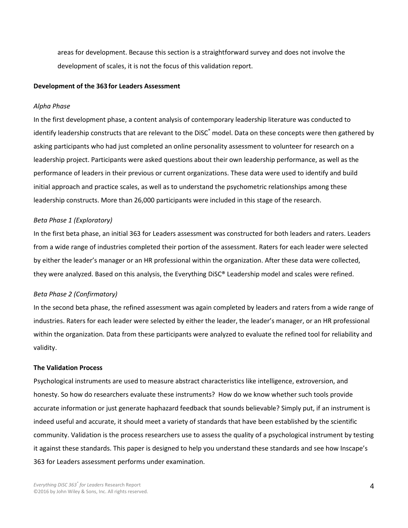areas for development. Because this section is a straightforward survey and does not involve the development of scales, it is not the focus of this validation report.

#### **Development of the 363 for Leaders Assessment**

#### *Alpha Phase*

In the first development phase, a content analysis of contemporary leadership literature was conducted to identify leadership constructs that are relevant to the DiSC<sup>®</sup> model. Data on these concepts were then gathered by asking participants who had just completed an online personality assessment to volunteer for research on a leadership project. Participants were asked questions about their own leadership performance, as well as the performance of leaders in their previous or current organizations. These data were used to identify and build initial approach and practice scales, as well as to understand the psychometric relationships among these leadership constructs. More than 26,000 participants were included in this stage of the research.

#### *Beta Phase 1 (Exploratory)*

In the first beta phase, an initial 363 for Leaders assessment was constructed for both leaders and raters. Leaders from a wide range of industries completed their portion of the assessment. Raters for each leader were selected by either the leader's manager or an HR professional within the organization. After these data were collected, they were analyzed. Based on this analysis, the Everything DiSC® Leadership model and scales were refined.

#### *Beta Phase 2 (Confirmatory)*

In the second beta phase, the refined assessment was again completed by leaders and raters from a wide range of industries. Raters for each leader were selected by either the leader, the leader's manager, or an HR professional within the organization. Data from these participants were analyzed to evaluate the refined tool for reliability and validity.

#### **The Validation Process**

Psychological instruments are used to measure abstract characteristics like intelligence, extroversion, and honesty. So how do researchers evaluate these instruments? How do we know whether such tools provide accurate information or just generate haphazard feedback that sounds believable? Simply put, if an instrument is indeed useful and accurate, it should meet a variety of standards that have been established by the scientific community. Validation is the process researchers use to assess the quality of a psychological instrument by testing it against these standards. This paper is designed to help you understand these standards and see how Inscape's 363 for Leaders assessment performs under examination.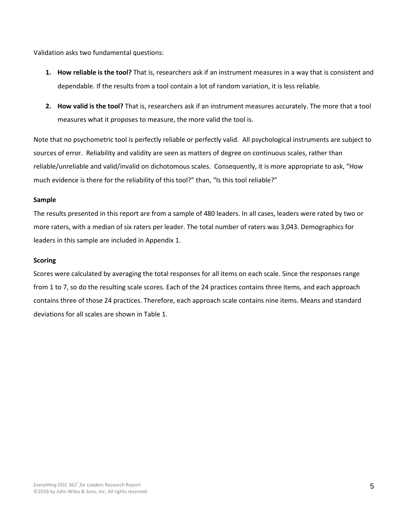Validation asks two fundamental questions:

- **1. How reliable is the tool?** That is, researchers ask if an instrument measures in a way that is consistent and dependable. If the results from a tool contain a lot of random variation, it is less reliable.
- **2. How valid is the tool?** That is, researchers ask if an instrument measures accurately. The more that a tool measures what it proposes to measure, the more valid the tool is.

Note that no psychometric tool is perfectly reliable or perfectly valid. All psychological instruments are subject to sources of error. Reliability and validity are seen as matters of degree on continuous scales, rather than reliable/unreliable and valid/invalid on dichotomous scales. Consequently, it is more appropriate to ask, "How much evidence is there for the reliability of this tool?" than, "Is this tool reliable?"

# **Sample**

The results presented in this report are from a sample of 480 leaders. In all cases, leaders were rated by two or more raters, with a median of six raters per leader. The total number of raters was 3,043. Demographics for leaders in this sample are included in Appendix 1.

# **Scoring**

Scores were calculated by averaging the total responses for all items on each scale. Since the responses range from 1 to 7, so do the resulting scale scores. Each of the 24 practices contains three items, and each approach contains three of those 24 practices. Therefore, each approach scale contains nine items. Means and standard deviations for all scales are shown in Table 1.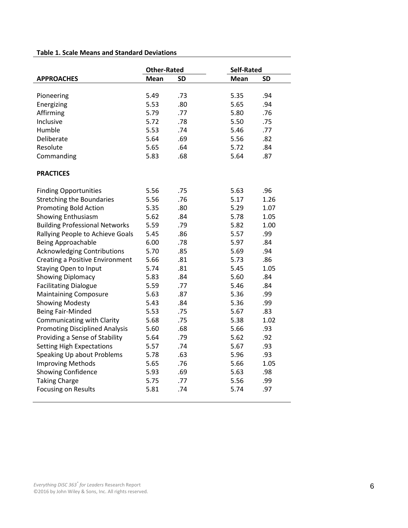# **Table 1. Scale Means and Standard Deviations**

|                                        | <b>Other-Rated</b> |            | <b>Self-Rated</b> |           |
|----------------------------------------|--------------------|------------|-------------------|-----------|
| <b>APPROACHES</b>                      | Mean               | <b>SD</b>  | <b>Mean</b>       | <b>SD</b> |
|                                        |                    |            |                   | .94       |
| Pioneering                             | 5.49<br>5.53       | .73<br>.80 | 5.35<br>5.65      | .94       |
| Energizing                             |                    |            |                   |           |
| Affirming                              | 5.79               | .77        | 5.80              | .76       |
| Inclusive                              | 5.72               | .78        | 5.50              | .75       |
| Humble                                 | 5.53               | .74        | 5.46              | .77       |
| Deliberate                             | 5.64               | .69        | 5.56              | .82       |
| Resolute                               | 5.65               | .64        | 5.72              | .84       |
| Commanding                             | 5.83               | .68        | 5.64              | .87       |
| <b>PRACTICES</b>                       |                    |            |                   |           |
| <b>Finding Opportunities</b>           | 5.56               | .75        | 5.63              | .96       |
| <b>Stretching the Boundaries</b>       | 5.56               | .76        | 5.17              | 1.26      |
| <b>Promoting Bold Action</b>           | 5.35               | .80        | 5.29              | 1.07      |
| Showing Enthusiasm                     | 5.62               | .84        | 5.78              | 1.05      |
| <b>Building Professional Networks</b>  | 5.59               | .79        | 5.82              | 1.00      |
| Rallying People to Achieve Goals       | 5.45               | .86        | 5.57              | .99       |
| <b>Being Approachable</b>              | 6.00               | .78        | 5.97              | .84       |
| <b>Acknowledging Contributions</b>     | 5.70               | .85        | 5.69              | .94       |
| <b>Creating a Positive Environment</b> | 5.66               | .81        | 5.73              | .86       |
| <b>Staying Open to Input</b>           | 5.74               | .81        | 5.45              | 1.05      |
| <b>Showing Diplomacy</b>               | 5.83               | .84        | 5.60              | .84       |
| <b>Facilitating Dialogue</b>           | 5.59               | .77        | 5.46              | .84       |
| <b>Maintaining Composure</b>           | 5.63               | .87        | 5.36              | .99       |
| <b>Showing Modesty</b>                 | 5.43               | .84        | 5.36              | .99       |
| <b>Being Fair-Minded</b>               | 5.53               | .75        | 5.67              | .83       |
| Communicating with Clarity             | 5.68               | .75        | 5.38              | 1.02      |
| <b>Promoting Disciplined Analysis</b>  | 5.60               | .68        | 5.66              | .93       |
| Providing a Sense of Stability         | 5.64               | .79        | 5.62              | .92       |
| <b>Setting High Expectations</b>       | 5.57               | .74        | 5.67              | .93       |
| Speaking Up about Problems             | 5.78               | .63        | 5.96              | .93       |
| <b>Improving Methods</b>               | 5.65               | .76        | 5.66              | 1.05      |
| <b>Showing Confidence</b>              | 5.93               | .69        | 5.63              | .98       |
| <b>Taking Charge</b>                   | 5.75               | .77        | 5.56              | .99       |
| Focusing on Results                    | 5.81               | .74        | 5.74              | .97       |
|                                        |                    |            |                   |           |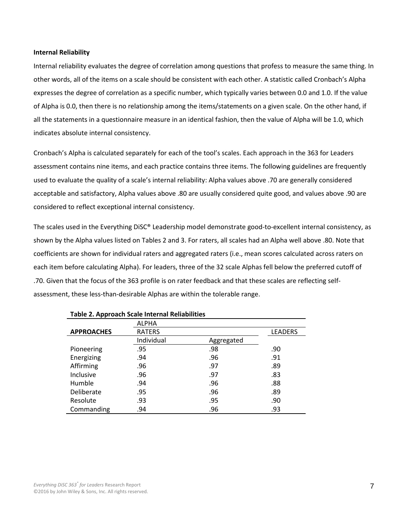#### **Internal Reliability**

Internal reliability evaluates the degree of correlation among questions that profess to measure the same thing. In other words, all of the items on a scale should be consistent with each other. A statistic called Cronbach's Alpha expresses the degree of correlation as a specific number, which typically varies between 0.0 and 1.0. If the value of Alpha is 0.0, then there is no relationship among the items/statements on a given scale. On the other hand, if all the statements in a questionnaire measure in an identical fashion, then the value of Alpha will be 1.0, which indicates absolute internal consistency.

Cronbach's Alpha is calculated separately for each of the tool's scales. Each approach in the 363 for Leaders assessment contains nine items, and each practice contains three items. The following guidelines are frequently used to evaluate the quality of a scale's internal reliability: Alpha values above .70 are generally considered acceptable and satisfactory, Alpha values above .80 are usually considered quite good, and values above .90 are considered to reflect exceptional internal consistency.

The scales used in the Everything DiSC® Leadership model demonstrate good-to-excellent internal consistency, as shown by the Alpha values listed on Tables 2 and 3. For raters, all scales had an Alpha well above .80. Note that coefficients are shown for individual raters and aggregated raters (i.e., mean scores calculated across raters on each item before calculating Alpha). For leaders, three of the 32 scale Alphas fell below the preferred cutoff of .70. Given that the focus of the 363 profile is on rater feedback and that these scales are reflecting selfassessment, these less-than-desirable Alphas are within the tolerable range.

|                   | <b>ALPHA</b>  |            |                |
|-------------------|---------------|------------|----------------|
| <b>APPROACHES</b> | <b>RATERS</b> |            | <b>LEADERS</b> |
|                   | Individual    | Aggregated |                |
| Pioneering        | .95           | .98        | .90            |
| Energizing        | .94           | .96        | .91            |
| Affirming         | .96           | .97        | .89            |
| Inclusive         | .96           | .97        | .83            |
| Humble            | .94           | .96        | .88            |
| Deliberate        | .95           | .96        | .89            |
| Resolute          | .93           | .95        | .90            |
| Commanding        | .94           | .96        | .93            |

#### **Table 2. Approach Scale Internal Reliabilities**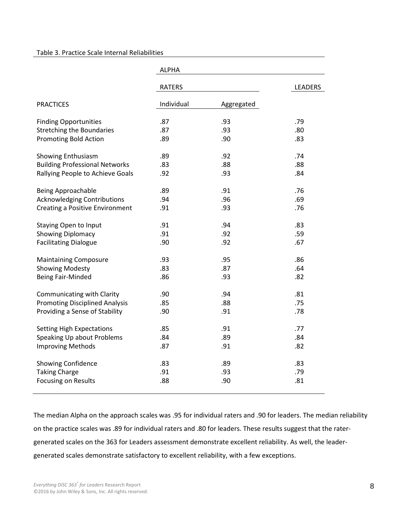#### Table 3. Practice Scale Internal Reliabilities

|                                        | <b>ALPHA</b>  |            |                |  |  |
|----------------------------------------|---------------|------------|----------------|--|--|
|                                        | <b>RATERS</b> |            | <b>LEADERS</b> |  |  |
| <b>PRACTICES</b>                       | Individual    | Aggregated |                |  |  |
| <b>Finding Opportunities</b>           | .87           | .93        | .79            |  |  |
| <b>Stretching the Boundaries</b>       | .87           | .93        | .80            |  |  |
| <b>Promoting Bold Action</b>           | .89           | .90        | .83            |  |  |
| Showing Enthusiasm                     | .89           | .92        | .74            |  |  |
| <b>Building Professional Networks</b>  | .83           | .88        | .88            |  |  |
| Rallying People to Achieve Goals       | .92           | .93        | .84            |  |  |
| <b>Being Approachable</b>              | .89           | .91        | .76            |  |  |
| <b>Acknowledging Contributions</b>     | .94           | .96        | .69            |  |  |
| <b>Creating a Positive Environment</b> | .91           | .93        | .76            |  |  |
| Staying Open to Input                  | .91           | .94        | .83            |  |  |
| Showing Diplomacy                      | .91           | .92        | .59            |  |  |
| <b>Facilitating Dialogue</b>           | .90           | .92        | .67            |  |  |
| <b>Maintaining Composure</b>           | .93           | .95        | .86            |  |  |
| <b>Showing Modesty</b>                 | .83           | .87        | .64            |  |  |
| Being Fair-Minded                      | .86           | .93        | .82            |  |  |
| Communicating with Clarity             | .90           | .94        | .81            |  |  |
| <b>Promoting Disciplined Analysis</b>  | .85           | .88        | .75            |  |  |
| Providing a Sense of Stability         | .90           | .91        | .78            |  |  |
| <b>Setting High Expectations</b>       | .85           | .91        | .77            |  |  |
| Speaking Up about Problems             | .84           | .89        | .84            |  |  |
| <b>Improving Methods</b>               | .87           | .91        | .82            |  |  |
| <b>Showing Confidence</b>              | .83           | .89        | .83            |  |  |
| <b>Taking Charge</b>                   | .91           | .93        | .79            |  |  |
| Focusing on Results                    | .88           | .90        | .81            |  |  |

The median Alpha on the approach scales was .95 for individual raters and .90 for leaders. The median reliability on the practice scales was .89 for individual raters and .80 for leaders. These results suggest that the ratergenerated scales on the 363 for Leaders assessment demonstrate excellent reliability. As well, the leadergenerated scales demonstrate satisfactory to excellent reliability, with a few exceptions.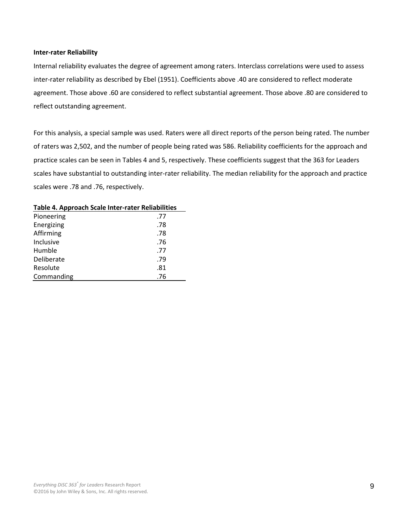#### **Inter-rater Reliability**

Internal reliability evaluates the degree of agreement among raters. Interclass correlations were used to assess inter-rater reliability as described by Ebel (1951). Coefficients above .40 are considered to reflect moderate agreement. Those above .60 are considered to reflect substantial agreement. Those above .80 are considered to reflect outstanding agreement.

For this analysis, a special sample was used. Raters were all direct reports of the person being rated. The number of raters was 2,502, and the number of people being rated was 586. Reliability coefficients for the approach and practice scales can be seen in Tables 4 and 5, respectively. These coefficients suggest that the 363 for Leaders scales have substantial to outstanding inter-rater reliability. The median reliability for the approach and practice scales were .78 and .76, respectively.

| Pioneering | .77 |
|------------|-----|
| Energizing | .78 |
| Affirming  | .78 |
| Inclusive  | .76 |
| Humble     | .77 |
| Deliberate | .79 |
| Resolute   | .81 |
| Commanding | .76 |
|            |     |

#### **Table 4. Approach Scale Inter-rater Reliabilities**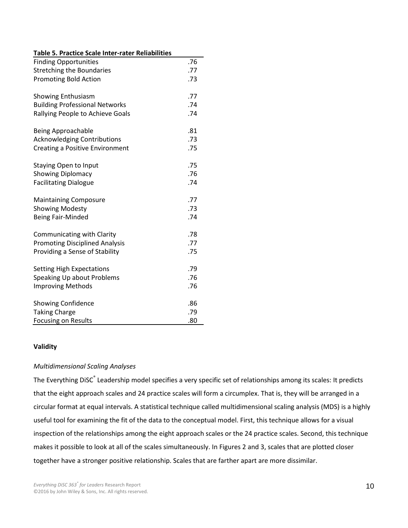| Table 5. Practice Scale Inter-rater Reliabilities |     |
|---------------------------------------------------|-----|
| <b>Finding Opportunities</b>                      | .76 |
| <b>Stretching the Boundaries</b>                  | .77 |
| <b>Promoting Bold Action</b>                      | .73 |
|                                                   |     |
| <b>Showing Enthusiasm</b>                         | .77 |
| <b>Building Professional Networks</b>             | .74 |
| Rallying People to Achieve Goals                  | .74 |
|                                                   |     |
| Being Approachable                                | .81 |
| <b>Acknowledging Contributions</b>                | .73 |
| <b>Creating a Positive Environment</b>            | .75 |
|                                                   |     |
| <b>Staying Open to Input</b>                      | .75 |
| <b>Showing Diplomacy</b>                          | .76 |
| <b>Facilitating Dialogue</b>                      | .74 |
|                                                   |     |
| <b>Maintaining Composure</b>                      | .77 |
| <b>Showing Modesty</b>                            | .73 |
| <b>Being Fair-Minded</b>                          | .74 |
| Communicating with Clarity                        | .78 |
| <b>Promoting Disciplined Analysis</b>             | .77 |
| Providing a Sense of Stability                    | .75 |
|                                                   |     |
| <b>Setting High Expectations</b>                  | .79 |
| Speaking Up about Problems                        | .76 |
| <b>Improving Methods</b>                          | .76 |
|                                                   |     |
| <b>Showing Confidence</b>                         | .86 |
| <b>Taking Charge</b>                              | .79 |
| <b>Focusing on Results</b>                        | .80 |

# **Validity**

# *Multidimensional Scaling Analyses*

The Everything DiSC® Leadership model specifies a very specific set of relationships among its scales: It predicts that the eight approach scales and 24 practice scales will form a circumplex. That is, they will be arranged in a circular format at equal intervals. A statistical technique called multidimensional scaling analysis (MDS) is a highly useful tool for examining the fit of the data to the conceptual model. First, this technique allows for a visual inspection of the relationships among the eight approach scales or the 24 practice scales. Second, this technique makes it possible to look at all of the scales simultaneously. In Figures 2 and 3, scales that are plotted closer together have a stronger positive relationship. Scales that are farther apart are more dissimilar.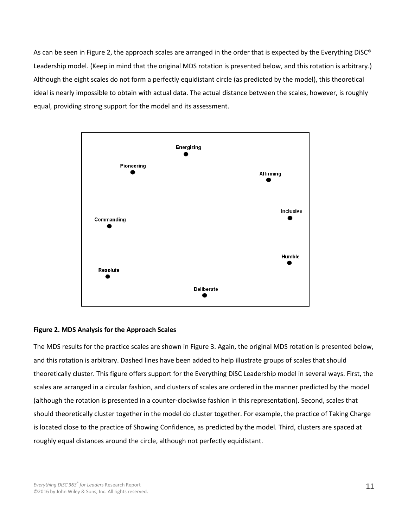As can be seen in Figure 2, the approach scales are arranged in the order that is expected by the Everything DiSC® Leadership model. (Keep in mind that the original MDS rotation is presented below, and this rotation is arbitrary.) Although the eight scales do not form a perfectly equidistant circle (as predicted by the model), this theoretical ideal is nearly impossible to obtain with actual data. The actual distance between the scales, however, is roughly equal, providing strong support for the model and its assessment.



# **Figure 2. MDS Analysis for the Approach Scales**

The MDS results for the practice scales are shown in Figure 3. Again, the original MDS rotation is presented below, and this rotation is arbitrary. Dashed lines have been added to help illustrate groups of scales that should theoretically cluster. This figure offers support for the Everything DiSC Leadership model in several ways. First, the scales are arranged in a circular fashion, and clusters of scales are ordered in the manner predicted by the model (although the rotation is presented in a counter-clockwise fashion in this representation). Second, scales that should theoretically cluster together in the model do cluster together. For example, the practice of Taking Charge is located close to the practice of Showing Confidence, as predicted by the model. Third, clusters are spaced at roughly equal distances around the circle, although not perfectly equidistant.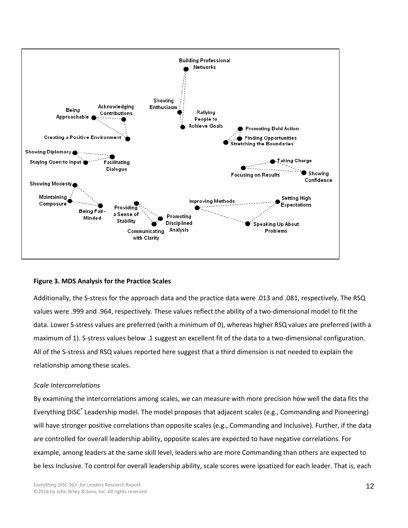

# **Figure 3. MDS Analysis for the Practice Scales**

Additionally, the S-stress for the approach data and the practice data were .013 and .081, respectively. The RSQ values were .999 and .964, respectively. These values reflect the ability of a two-dimensional model to fit the data. Lower S-stress values are preferred (with a minimum of 0), whereas higher RSQ values are preferred (with a maximum of 1). S-stress values below .1 suggest an excellent fit of the data to a two-dimensional configuration. All of the S-stress and RSQ values reported here suggest that a third dimension is not needed to explain the relationship among these scales.

#### *Scale Intercorrelations*

By examining the intercorrelations among scales, we can measure with more precision how well the data fits the Everything DiSC® Leadership model. The model proposes that adjacent scales (e.g., Commanding and Pioneering) will have stronger positive correlations than opposite scales (e.g., Commanding and Inclusive). Further, if the data are controlled for overall leadership ability, opposite scales are expected to have negative correlations. For example, among leaders at the same skill level, leaders who are more Commanding than others are expected to be less Inclusive. To control for overall leadership ability, scale scores were ipsatized for each leader. That is, each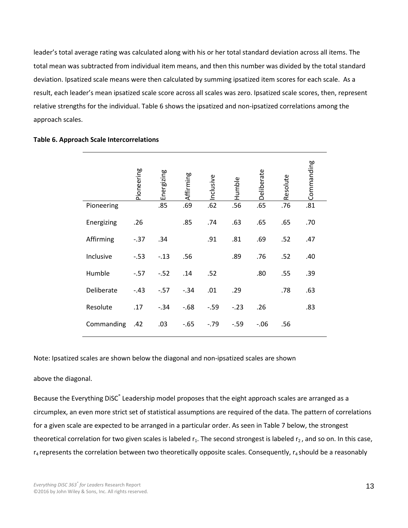leader's total average rating was calculated along with his or her total standard deviation across all items. The total mean was subtracted from individual item means, and then this number was divided by the total standard deviation. Ipsatized scale means were then calculated by summing ipsatized item scores for each scale. As a result, each leader's mean ipsatized scale score across all scales was zero. Ipsatized scale scores, then, represent relative strengths for the individual. Table 6 shows the ipsatized and non-ipsatized correlations among the approach scales.

|            | Pioneering | Energizing | Affirming | Inclusive | Humble | Deliberate | Resolute | Commanding |
|------------|------------|------------|-----------|-----------|--------|------------|----------|------------|
| Pioneering |            | .85        | .69       | .62       | .56    | .65        | .76      | .81        |
| Energizing | .26        |            | .85       | .74       | .63    | .65        | .65      | .70        |
| Affirming  | $-37$      | .34        |           | .91       | .81    | .69        | .52      | .47        |
| Inclusive  | $-0.53$    | $-.13$     | .56       |           | .89    | .76        | .52      | .40        |
| Humble     | $-57$      | $-.52$     | .14       | .52       |        | .80        | .55      | .39        |
| Deliberate | $-.43$     | $-0.57$    | $-.34$    | .01       | .29    |            | .78      | .63        |
| Resolute   | .17        | $-.34$     | $-68$     | $-.59$    | $-.23$ | .26        |          | .83        |
| Commanding | .42        | .03        | $-.65$    | $-0.79$   | $-.59$ | $-0.06$    | .56      |            |

#### **Table 6. Approach Scale Intercorrelations**

Note: Ipsatized scales are shown below the diagonal and non-ipsatized scales are shown

#### above the diagonal.

Because the Everything DiSC® Leadership model proposes that the eight approach scales are arranged as a circumplex, an even more strict set of statistical assumptions are required of the data. The pattern of correlations for a given scale are expected to be arranged in a particular order. As seen in Table 7 below, the strongest theoretical correlation for two given scales is labeled  $r_1$ . The second strongest is labeled  $r_2$ , and so on. In this case,  $r_4$  represents the correlation between two theoretically opposite scales. Consequently,  $r_4$  should be a reasonably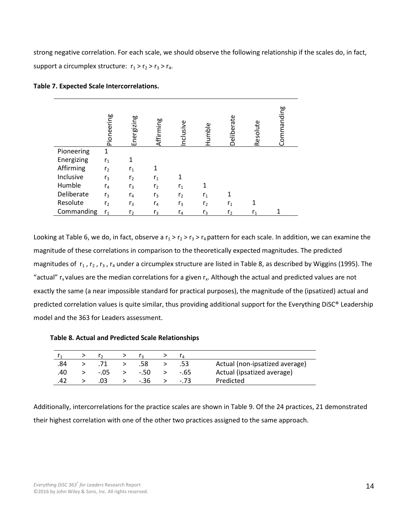strong negative correlation. For each scale, we should observe the following relationship if the scales do, in fact, support a circumplex structure:  $r_1 > r_2 > r_3 > r_4$ .

|            | Pioneering     | Energizing     | Affirming      | Inclusive      | Humble         | Deliberate     | Resolute | Commanding |
|------------|----------------|----------------|----------------|----------------|----------------|----------------|----------|------------|
| Pioneering | 1              |                |                |                |                |                |          |            |
| Energizing | r <sub>1</sub> |                |                |                |                |                |          |            |
| Affirming  | r <sub>2</sub> | r <sub>1</sub> |                |                |                |                |          |            |
| Inclusive  | r <sub>3</sub> | r <sub>2</sub> | r <sub>1</sub> |                |                |                |          |            |
| Humble     | $r_4$          | r <sub>3</sub> | r <sub>2</sub> | $r_{1}$        |                |                |          |            |
| Deliberate | r <sub>3</sub> | $r_4$          | $r_3$          | r <sub>2</sub> | r <sub>1</sub> |                |          |            |
| Resolute   | r <sub>2</sub> | r <sub>3</sub> | $r_4$          | r <sub>3</sub> | r <sub>2</sub> | $r_1$          |          |            |
| Commanding | r <sub>1</sub> | r <sub>2</sub> | $r_3$          | $r_4$          | $r_3$          | r <sub>2</sub> | r,       |            |

Looking at Table 6, we do, in fact, observe a  $r_1 > r_2 > r_3 > r_4$  pattern for each scale. In addition, we can examine the magnitude of these correlations in comparison to the theoretically expected magnitudes. The predicted magnitudes of  $r_1$ ,  $r_2$ ,  $r_3$ ,  $r_4$  under a circumplex structure are listed in Table 8, as described by Wiggins (1995). The "actual"  $r_x$  values are the median correlations for a given  $r_x$ . Although the actual and predicted values are not exactly the same (a near impossible standard for practical purposes), the magnitude of the (ipsatized) actual and predicted correlation values is quite similar, thus providing additional support for the Everything DiSC® Leadership model and the 363 for Leaders assessment.

| .84  |        | .58    | .53    | Actual (non-ipsatized average) |
|------|--------|--------|--------|--------------------------------|
| .40  | $-.05$ | $-.50$ | $-65$  | Actual (ipsatized average)     |
| 71 Z | 03     | -.36   | $-.73$ | Predicted                      |

Additionally, intercorrelations for the practice scales are shown in Table 9. Of the 24 practices, 21 demonstrated their highest correlation with one of the other two practices assigned to the same approach.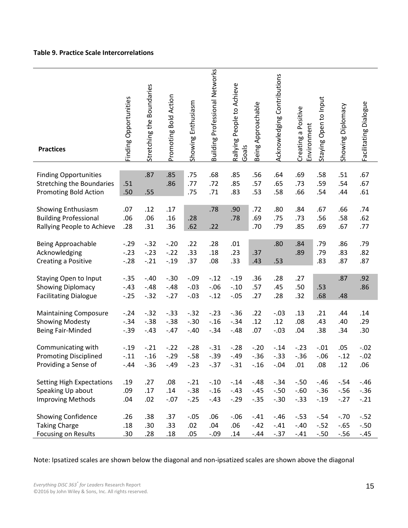# **Table 9. Practice Scale Intercorrelations**

| <b>Practices</b>                                                                          | Finding Opportunities      | Stretching the Boundaries  | Promoting Bold Action      | Showing Enthusiasm          | Building Professional Networks | Rallying People to Achieve<br>Goals | Being Approachable         | Acknowledging Contributions | Creating a Positive<br>Environment | Staying Open to Input      | Showing Diplomacy           | Facilitating Dialogue      |
|-------------------------------------------------------------------------------------------|----------------------------|----------------------------|----------------------------|-----------------------------|--------------------------------|-------------------------------------|----------------------------|-----------------------------|------------------------------------|----------------------------|-----------------------------|----------------------------|
| <b>Finding Opportunities</b><br><b>Stretching the Boundaries</b><br>Promoting Bold Action | .51<br>.50                 | .87<br>.55                 | .85<br>.86                 | .75<br>.77<br>.75           | .68<br>.72<br>.71              | .85<br>.85<br>.83                   | .56<br>.57<br>.53          | .64<br>.65<br>.58           | .69<br>.73<br>.66                  | .58<br>.59<br>.54          | .51<br>.54<br>.44           | .67<br>.67<br>.61          |
| Showing Enthusiasm<br><b>Building Professional</b><br>Rallying People to Achieve          | .07<br>.06<br>.28          | .12<br>.06<br>.31          | .17<br>.16<br>.36          | .28<br>.62                  | .78<br>.22                     | .90<br>.78                          | .72<br>.69<br>.70          | .80<br>.75<br>.79           | .84<br>.73<br>.85                  | .67<br>.56<br>.69          | .66<br>.58<br>.67           | .74<br>.62<br>.77          |
| Being Approachable<br>Acknowledging<br>Creating a Positive                                | $-.29$<br>$-.23$<br>$-.28$ | $-.32$<br>$-.23$<br>$-.21$ | $-.20$<br>$-.22$<br>$-.19$ | .22<br>.33<br>.37           | .28<br>.18<br>.08              | .01<br>.23<br>.33                   | .37<br>.43                 | .80<br>.53                  | .84<br>.89                         | .79<br>.79<br>.83          | .86<br>.83<br>.87           | .79<br>.82<br>.87          |
| <b>Staying Open to Input</b><br>Showing Diplomacy<br><b>Facilitating Dialogue</b>         | $-.35$<br>$-.43$<br>$-.25$ | $-.40$<br>$-.48$<br>$-.32$ | $-.30$<br>$-.48$<br>$-.27$ | $-.09$<br>$-.03$<br>$-.03$  | $-.12$<br>$-.06$<br>$-.12$     | $-.19$<br>$-.10$<br>$-.05$          | .36<br>.57<br>.27          | .28<br>.45<br>.28           | .27<br>.50<br>.32                  | .53<br>.68                 | .87<br>.48                  | .92<br>.86                 |
| <b>Maintaining Composure</b><br><b>Showing Modesty</b><br>Being Fair-Minded               | $-.24$<br>$-.34$<br>$-.39$ | $-.32$<br>$-.38$<br>$-.43$ | $-.33$<br>$-.38$<br>$-.47$ | $-.32$<br>$-.30$<br>$-.40$  | $-.23$<br>$-.16$<br>$-.34$     | $-.36$<br>$-.34$<br>$-.48$          | .22<br>.12<br>.07          | $-.03$<br>.12<br>$-.03$     | .13<br>.08<br>.04                  | .21<br>.43<br>.38          | .44<br>.40<br>.34           | .14<br>.29<br>.30          |
| Communicating with<br><b>Promoting Disciplined</b><br>Providing a Sense of                | $-.19$<br>$-.11$<br>$-.44$ | $-.21$<br>$-.16$<br>$-.36$ | $-.22$<br>$-.29$<br>$-.49$ | $-.28$<br>$-0.58$<br>$-.23$ | $-.31$<br>$-.39$<br>$-.37$     | $-.28$<br>$-.49$<br>$-31$           | $-.20$<br>$-.36$<br>$-.16$ | $-.14$<br>$-.33$<br>$-.04$  | $-.23$<br>$-0.36$<br>.01           | $-.01$<br>$-.06$<br>.08    | .05<br>$-.12$<br>.12        | $-.02$<br>$-.02$<br>.06    |
| <b>Setting High Expectations</b><br>Speaking Up about<br><b>Improving Methods</b>         | .19<br>.09<br>.04          | .27<br>.17<br>.02          | .08<br>.14<br>$-.07$       | $-.21$<br>$-.38$<br>$-.25$  | $-.10$<br>$-.16$<br>$-.43$     | $-.14$<br>$-.43$<br>$-.29$          | $-.48$<br>$-.45$<br>$-.35$ | $-.34$<br>$-.50$<br>$-.30$  | $-.50$<br>$-.60$<br>$-.33$         | $-.46$<br>$-.36$<br>$-.19$ | $-.54$<br>$-.56$<br>$-.27$  | $-.46$<br>$-.36$<br>$-.21$ |
| <b>Showing Confidence</b><br><b>Taking Charge</b><br>Focusing on Results                  | .26<br>.18<br>.30          | .38<br>.30<br>.28          | .37<br>.33<br>.18          | $-.05$<br>.02<br>.05        | .06<br>.04<br>$-.09$           | $-.06$<br>.06<br>.14                | $-.41$<br>$-.42$<br>$-.44$ | $-.46$<br>$-.41$<br>$-.37$  | $-.53$<br>$-.40$<br>$-.41$         | $-.54$<br>$-.52$<br>$-.50$ | $-.70$<br>$-.65$<br>$-0.56$ | $-.52$<br>$-.50$<br>$-.45$ |

Note: Ipsatized scales are shown below the diagonal and non-ipsatized scales are shown above the diagonal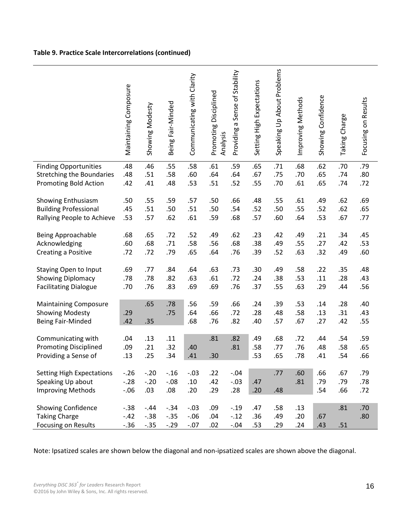# **Table 9. Practice Scale Intercorrelations (continued)**

|                                  | Maintaining Composure | Showing Modesty | Being Fair-Minded | Communicating with Clarity | Promoting Disciplined<br>Analysis | Providing a Sense of Stability | Setting High Expectations | Speaking Up About Problems | Improving Methods | Showing Confidence | Taking Charge | Focusing on Results |
|----------------------------------|-----------------------|-----------------|-------------------|----------------------------|-----------------------------------|--------------------------------|---------------------------|----------------------------|-------------------|--------------------|---------------|---------------------|
| <b>Finding Opportunities</b>     | .48                   | .46             | .55               | .58                        | .61                               | .59                            | .65                       | .71                        | .68               | .62                | .70           | .79                 |
|                                  |                       |                 |                   |                            |                                   |                                |                           |                            |                   |                    |               |                     |
| <b>Stretching the Boundaries</b> | .48                   | .51             | .58               | .60                        | .64                               | .64                            | .67                       | .75                        | .70               | .65                | .74           | .80                 |
| Promoting Bold Action            | .42                   | .41             | .48               | .53                        | .51                               | .52                            | .55                       | .70                        | .61               | .65                | .74           | .72                 |
|                                  |                       |                 |                   |                            |                                   |                                |                           |                            |                   |                    |               |                     |
| Showing Enthusiasm               | .50                   | .55             | .59               | .57                        | .50                               | .66                            | .48                       | .55                        | .61               | .49                | .62           | .69                 |
| <b>Building Professional</b>     | .45                   | .51             | .50               | .51                        | .50                               | .54                            | .52                       | .50                        | .55               | .52                | .62           | .65                 |
| Rallying People to Achieve       | .53                   | .57             | .62               | .61                        | .59                               | .68                            | .57                       | .60                        | .64               | .53                | .67           | .77                 |
|                                  |                       |                 |                   |                            |                                   |                                |                           |                            |                   |                    |               |                     |
| <b>Being Approachable</b>        | .68                   | .65             | .72               | .52                        | .49                               | .62                            | .23                       | .42                        | .49               | .21                | .34           | .45                 |
|                                  |                       |                 |                   |                            |                                   |                                |                           |                            |                   |                    |               |                     |
| Acknowledging                    | .60                   | .68             | .71               | .58                        | .56                               | .68                            | .38                       | .49                        | .55               | .27                | .42           | .53                 |
| Creating a Positive              | .72                   | .72             | .79               | .65                        | .64                               | .76                            | .39                       | .52                        | .63               | .32                | .49           | .60                 |
|                                  |                       |                 |                   |                            |                                   |                                |                           |                            |                   |                    |               |                     |
| <b>Staying Open to Input</b>     | .69                   | .77             | .84               | .64                        | .63                               | .73                            | .30                       | .49                        | .58               | .22                | .35           | .48                 |
| Showing Diplomacy                | .78                   | .78             | .82               | .63                        | .61                               | .72                            | .24                       | .38                        | .53               | .11                | .28           | .43                 |
| <b>Facilitating Dialogue</b>     | .70                   | .76             | .83               | .69                        | .69                               | .76                            | .37                       | .55                        | .63               | .29                | .44           | .56                 |
|                                  |                       |                 |                   |                            |                                   |                                |                           |                            |                   |                    |               |                     |
| <b>Maintaining Composure</b>     |                       | .65             | .78               | .56                        | .59                               | .66                            | .24                       | .39                        | .53               | .14                | .28           | .40                 |
| <b>Showing Modesty</b>           | .29                   |                 | .75               | .64                        | .66                               | .72                            | .28                       | .48                        | .58               | .13                | .31           | .43                 |
| Being Fair-Minded                | .42                   | .35             |                   | .68                        | .76                               | .82                            | .40                       | .57                        | .67               | .27                | .42           | .55                 |
|                                  |                       |                 |                   |                            |                                   |                                |                           |                            |                   |                    |               |                     |
| Communicating with               | .04                   | .13             | .11               |                            | .81                               | .82                            | .49                       | .68                        | .72               | .44                | .54           | .59                 |
| <b>Promoting Disciplined</b>     | .09                   | .21             | .32               | .40                        |                                   | .81                            | .58                       | .77                        | .76               | .48                | .58           | .65                 |
| Providing a Sense of             | .13                   | .25             | .34               | .41                        | .30                               |                                | .53                       | .65                        | .78               | .41                | .54           | .66                 |
|                                  |                       |                 |                   |                            |                                   |                                |                           |                            |                   |                    |               |                     |
| <b>Setting High Expectations</b> | $-.26$                | $-.20$          | $-.16$            | $-.03$                     | .22                               | $-.04$                         |                           | .77                        | .60               | .66                | .67           | .79                 |
| Speaking Up about                | $-.28$                | $-.20$          | $-.08$            | .10                        | .42                               | $-.03$                         | .47                       |                            | .81               | .79                | .79           | .78                 |
|                                  |                       |                 |                   |                            |                                   |                                |                           |                            |                   |                    |               |                     |
| <b>Improving Methods</b>         | $-0.06$               | .03             | .08               | .20                        | .29                               | .28                            | .20                       | .48                        |                   | .54                | .66           | .72                 |
|                                  |                       |                 |                   |                            |                                   |                                |                           |                            |                   |                    |               |                     |
| Showing Confidence               | $-.38$                | $-.44$          | $-.34$            | $-.03$                     | .09                               | $-.19$                         | .47                       | .58                        | .13               |                    | .81           | .70                 |
| <b>Taking Charge</b>             | $-.42$                | $-0.38$         | $-.35$            | $-.06$                     | .04                               | $-.12$                         | .36                       | .49                        | .20               | .67                |               | .80                 |
| Focusing on Results              | $-.36$                | $-.35$          | $-.29$            | $-.07$                     | .02                               | $-.04$                         | .53                       | .29                        | .24               | .43                | .51           |                     |

Note: Ipsatized scales are shown below the diagonal and non-ipsatized scales are shown above the diagonal.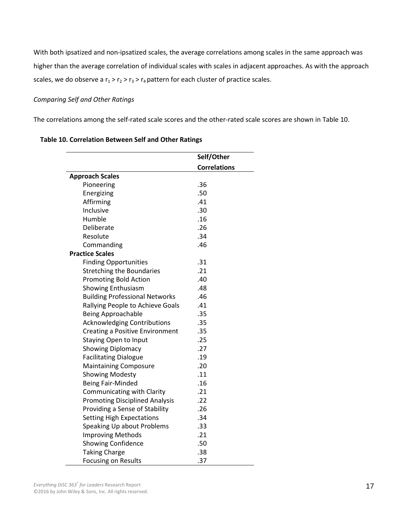With both ipsatized and non-ipsatized scales, the average correlations among scales in the same approach was higher than the average correlation of individual scales with scales in adjacent approaches. As with the approach scales, we do observe a  $r_1 > r_2 > r_3 > r_4$  pattern for each cluster of practice scales.

# *Comparing Self and Other Ratings*

The correlations among the self-rated scale scores and the other-rated scale scores are shown in Table 10.

|                                        | Self/Other          |
|----------------------------------------|---------------------|
|                                        | <b>Correlations</b> |
| <b>Approach Scales</b>                 |                     |
| Pioneering                             | .36                 |
| Energizing                             | .50                 |
| Affirming                              | .41                 |
| Inclusive                              | .30                 |
| Humble                                 | .16                 |
| Deliberate                             | .26                 |
| Resolute                               | .34                 |
| Commanding                             | .46                 |
| <b>Practice Scales</b>                 |                     |
| <b>Finding Opportunities</b>           | .31                 |
| <b>Stretching the Boundaries</b>       | .21                 |
| <b>Promoting Bold Action</b>           | .40                 |
| <b>Showing Enthusiasm</b>              | .48                 |
| <b>Building Professional Networks</b>  | .46                 |
| Rallying People to Achieve Goals       | .41                 |
| Being Approachable                     | .35                 |
| <b>Acknowledging Contributions</b>     | .35                 |
| <b>Creating a Positive Environment</b> | .35                 |
| <b>Staying Open to Input</b>           | .25                 |
| <b>Showing Diplomacy</b>               | .27                 |
| <b>Facilitating Dialogue</b>           | .19                 |
| <b>Maintaining Composure</b>           | .20                 |
| <b>Showing Modesty</b>                 | .11                 |
| Being Fair-Minded                      | .16                 |
| Communicating with Clarity             | .21                 |
| <b>Promoting Disciplined Analysis</b>  | .22                 |
| Providing a Sense of Stability         | .26                 |
| <b>Setting High Expectations</b>       | .34                 |
| Speaking Up about Problems             | .33                 |
| <b>Improving Methods</b>               | .21                 |
| <b>Showing Confidence</b>              | .50                 |
| <b>Taking Charge</b>                   | .38                 |
| <b>Focusing on Results</b>             | .37                 |

# **Table 10. Correlation Between Self and Other Ratings**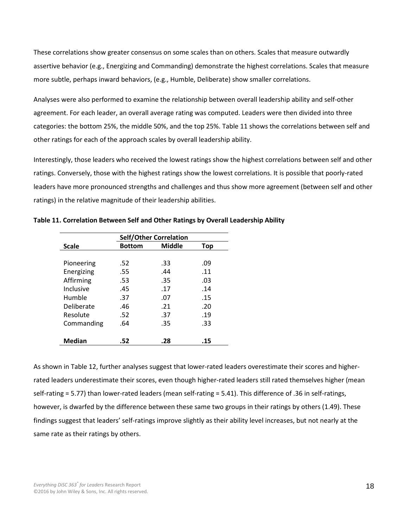These correlations show greater consensus on some scales than on others. Scales that measure outwardly assertive behavior (e.g., Energizing and Commanding) demonstrate the highest correlations. Scales that measure more subtle, perhaps inward behaviors, (e.g., Humble, Deliberate) show smaller correlations.

Analyses were also performed to examine the relationship between overall leadership ability and self-other agreement. For each leader, an overall average rating was computed. Leaders were then divided into three categories: the bottom 25%, the middle 50%, and the top 25%. Table 11 shows the correlations between self and other ratings for each of the approach scales by overall leadership ability.

Interestingly, those leaders who received the lowest ratings show the highest correlations between self and other ratings. Conversely, those with the highest ratings show the lowest correlations. It is possible that poorly-rated leaders have more pronounced strengths and challenges and thus show more agreement (between self and other ratings) in the relative magnitude of their leadership abilities.

|               | <b>Self/Other Correlation</b> |               |     |  |  |
|---------------|-------------------------------|---------------|-----|--|--|
| <b>Scale</b>  | <b>Bottom</b>                 | <b>Middle</b> | Top |  |  |
|               |                               |               |     |  |  |
| Pioneering    | .52                           | .33           | .09 |  |  |
| Energizing    | .55                           | .44           | .11 |  |  |
| Affirming     | .53                           | .35           | .03 |  |  |
| Inclusive     | .45                           | .17           | .14 |  |  |
| Humble        | .37                           | .07           | .15 |  |  |
| Deliberate    | .46                           | .21           | .20 |  |  |
| Resolute      | .52                           | .37           | .19 |  |  |
| Commanding    | .64                           | .35           | .33 |  |  |
|               |                               |               |     |  |  |
| <b>Median</b> | .52                           | .28           | .15 |  |  |

**Table 11. Correlation Between Self and Other Ratings by Overall Leadership Ability**

As shown in Table 12, further analyses suggest that lower-rated leaders overestimate their scores and higherrated leaders underestimate their scores, even though higher-rated leaders still rated themselves higher (mean self-rating = 5.77) than lower-rated leaders (mean self-rating = 5.41). This difference of .36 in self-ratings, however, is dwarfed by the difference between these same two groups in their ratings by others (1.49). These findings suggest that leaders' self-ratings improve slightly as their ability level increases, but not nearly at the same rate as their ratings by others.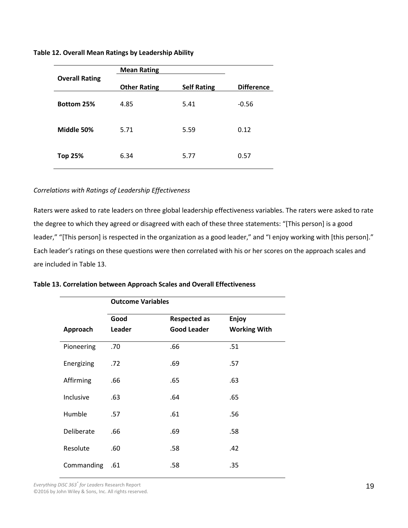**Table 12. Overall Mean Ratings by Leadership Ability**

|                       | <b>Mean Rating</b>  |                    |                   |
|-----------------------|---------------------|--------------------|-------------------|
| <b>Overall Rating</b> | <b>Other Rating</b> | <b>Self Rating</b> | <b>Difference</b> |
| <b>Bottom 25%</b>     | 4.85                | 5.41               | $-0.56$           |
| Middle 50%            | 5.71                | 5.59               | 0.12              |
| <b>Top 25%</b>        | 6.34                | 5.77               | 0.57              |

# *Correlations with Ratings of Leadership Effectiveness*

Raters were asked to rate leaders on three global leadership effectiveness variables. The raters were asked to rate the degree to which they agreed or disagreed with each of these three statements: "[This person] is a good leader," "[This person] is respected in the organization as a good leader," and "I enjoy working with [this person]." Each leader's ratings on these questions were then correlated with his or her scores on the approach scales and are included in Table 13.

|  |  | Table 13. Correlation between Approach Scales and Overall Effectiveness |  |  |  |  |  |
|--|--|-------------------------------------------------------------------------|--|--|--|--|--|
|--|--|-------------------------------------------------------------------------|--|--|--|--|--|

|            | <b>Outcome Variables</b>    |                    |                     |  |  |  |
|------------|-----------------------------|--------------------|---------------------|--|--|--|
|            | Good<br><b>Respected as</b> |                    | Enjoy               |  |  |  |
| Approach   | Leader                      | <b>Good Leader</b> | <b>Working With</b> |  |  |  |
| Pioneering | .70                         | .66                | .51                 |  |  |  |
| Energizing | .72                         | .69                | .57                 |  |  |  |
| Affirming  | .66                         | .65                | .63                 |  |  |  |
| Inclusive  | .63                         | .64                | .65                 |  |  |  |
| Humble     | .57                         | .61                | .56                 |  |  |  |
| Deliberate | .66                         | .69                | .58                 |  |  |  |
| Resolute   | .60                         | .58                | .42                 |  |  |  |
| Commanding | .61                         | .58                | .35                 |  |  |  |

*Everything DiSC 363® for Leaders* Research Report Everything DiSC 363<sup>°</sup> for Leaders Research Report **19**<br>
©2016 by John Wiley & Sons, Inc. All rights reserved. 1998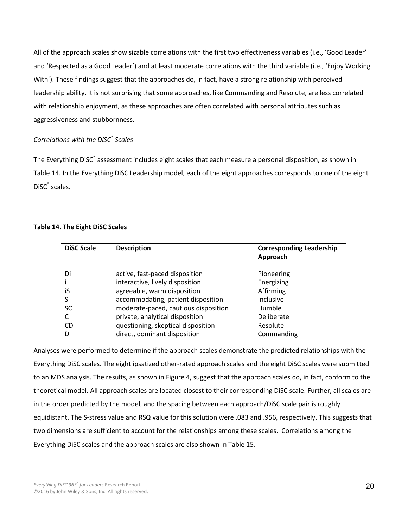All of the approach scales show sizable correlations with the first two effectiveness variables (i.e., 'Good Leader' and 'Respected as a Good Leader') and at least moderate correlations with the third variable (i.e., 'Enjoy Working With'). These findings suggest that the approaches do, in fact, have a strong relationship with perceived leadership ability. It is not surprising that some approaches, like Commanding and Resolute, are less correlated with relationship enjoyment, as these approaches are often correlated with personal attributes such as aggressiveness and stubbornness.

# *Correlations with the DiSC® Scales*

The Everything DiSC® assessment includes eight scales that each measure a personal disposition, as shown in Table 14. In the Everything DiSC Leadership model, each of the eight approaches corresponds to one of the eight DiSC® scales.

# **Table 14. The Eight DiSC Scales**

| <b>DiSC Scale</b> | <b>Description</b>                   | <b>Corresponding Leadership</b><br>Approach |
|-------------------|--------------------------------------|---------------------------------------------|
| Di                | active, fast-paced disposition       | Pioneering                                  |
|                   | interactive, lively disposition      | Energizing                                  |
| iS                | agreeable, warm disposition          | Affirming                                   |
|                   | accommodating, patient disposition   | Inclusive                                   |
| SC                | moderate-paced, cautious disposition | <b>Humble</b>                               |
|                   | private, analytical disposition      | Deliberate                                  |
| CD                | questioning, skeptical disposition   | Resolute                                    |
| D                 | direct, dominant disposition         | Commanding                                  |

Analyses were performed to determine if the approach scales demonstrate the predicted relationships with the Everything DiSC scales. The eight ipsatized other-rated approach scales and the eight DiSC scales were submitted to an MDS analysis. The results, as shown in Figure 4, suggest that the approach scales do, in fact, conform to the theoretical model. All approach scales are located closest to their corresponding DiSC scale. Further, all scales are in the order predicted by the model, and the spacing between each approach/DiSC scale pair is roughly equidistant. The S-stress value and RSQ value for this solution were .083 and .956, respectively. This suggests that two dimensions are sufficient to account for the relationships among these scales. Correlations among the Everything DiSC scales and the approach scales are also shown in Table 15.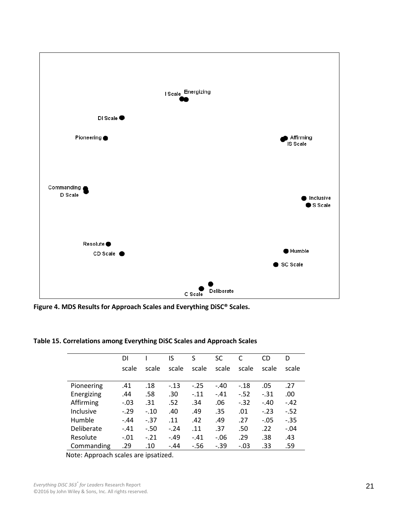

**Figure 4. MDS Results for Approach Scales and Everything DiSC® Scales.**

|            | DI     |        | IS     | S      | SC     | C      | CD     | D      |
|------------|--------|--------|--------|--------|--------|--------|--------|--------|
|            | scale  | scale  | scale  | scale  | scale  | scale  | scale  | scale  |
|            |        |        |        |        |        |        |        |        |
| Pioneering | .41    | .18    | $-.13$ | $-.25$ | $-.40$ | $-.18$ | .05    | .27    |
| Energizing | .44    | .58    | .30    | $-11$  | $-.41$ | $-.52$ | $-.31$ | .00.   |
| Affirming  | $-.03$ | .31    | .52    | .34    | .06    | $-.32$ | $-.40$ | $-.42$ |
| Inclusive  | $-.29$ | $-.10$ | .40    | .49    | .35    | .01    | $-.23$ | $-.52$ |
| Humble     | $-.44$ | $-37$  | .11    | .42    | .49    | .27    | $-.05$ | $-.35$ |
| Deliberate | $-.41$ | $-.50$ | $-.24$ | .11    | .37    | .50    | .22    | $-.04$ |
| Resolute   | $-.01$ | $-.21$ | $-.49$ | $-.41$ | $-.06$ | .29    | .38    | .43    |
| Commanding | .29    | .10    | $-.44$ | $-56$  | $-.39$ | $-.03$ | .33    | .59    |

**Table 15. Correlations among Everything DiSC Scales and Approach Scales**

Note: Approach scales are ipsatized.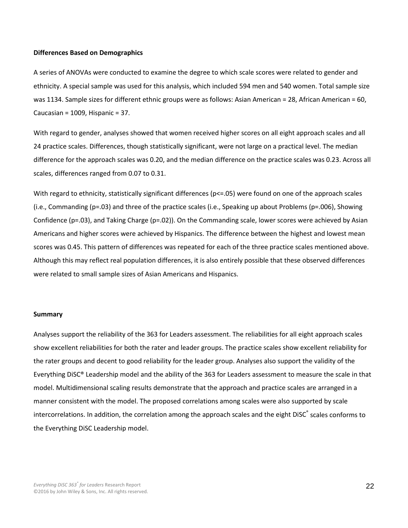#### **Differences Based on Demographics**

A series of ANOVAs were conducted to examine the degree to which scale scores were related to gender and ethnicity. A special sample was used for this analysis, which included 594 men and 540 women. Total sample size was 1134. Sample sizes for different ethnic groups were as follows: Asian American = 28, African American = 60, Caucasian = 1009, Hispanic = 37.

With regard to gender, analyses showed that women received higher scores on all eight approach scales and all 24 practice scales. Differences, though statistically significant, were not large on a practical level. The median difference for the approach scales was 0.20, and the median difference on the practice scales was 0.23. Across all scales, differences ranged from 0.07 to 0.31.

With regard to ethnicity, statistically significant differences ( $p\leq 0.05$ ) were found on one of the approach scales (i.e., Commanding (p=.03) and three of the practice scales (i.e., Speaking up about Problems (p=.006), Showing Confidence (p=.03), and Taking Charge (p=.02)). On the Commanding scale, lower scores were achieved by Asian Americans and higher scores were achieved by Hispanics. The difference between the highest and lowest mean scores was 0.45. This pattern of differences was repeated for each of the three practice scales mentioned above. Although this may reflect real population differences, it is also entirely possible that these observed differences were related to small sample sizes of Asian Americans and Hispanics.

#### **Summary**

Analyses support the reliability of the 363 for Leaders assessment. The reliabilities for all eight approach scales show excellent reliabilities for both the rater and leader groups. The practice scales show excellent reliability for the rater groups and decent to good reliability for the leader group. Analyses also support the validity of the Everything DiSC® Leadership model and the ability of the 363 for Leaders assessment to measure the scale in that model. Multidimensional scaling results demonstrate that the approach and practice scales are arranged in a manner consistent with the model. The proposed correlations among scales were also supported by scale intercorrelations. In addition, the correlation among the approach scales and the eight DiSC® scales conforms to the Everything DiSC Leadership model.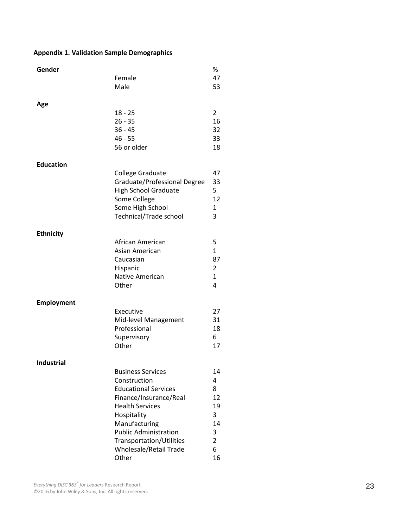# **Appendix 1. Validation Sample Demographics**

| Gender            |                               | %              |
|-------------------|-------------------------------|----------------|
|                   | Female                        | 47             |
|                   | Male                          | 53             |
|                   |                               |                |
| Age               |                               |                |
|                   | $18 - 25$                     | 2              |
|                   | $26 - 35$                     | 16             |
|                   | $36 - 45$                     | 32             |
|                   | $46 - 55$                     | 33             |
|                   | 56 or older                   | 18             |
|                   |                               |                |
| <b>Education</b>  |                               |                |
|                   | College Graduate              | 47             |
|                   | Graduate/Professional Degree  | 33             |
|                   | <b>High School Graduate</b>   | 5              |
|                   | Some College                  | 12             |
|                   | Some High School              | $\mathbf{1}$   |
|                   | <b>Technical/Trade school</b> | 3              |
|                   |                               |                |
| <b>Ethnicity</b>  |                               |                |
|                   | African American              | 5              |
|                   | Asian American                | $\mathbf{1}$   |
|                   | Caucasian                     | 87             |
|                   | Hispanic                      | 2              |
|                   | <b>Native American</b>        | $\mathbf{1}$   |
|                   | Other                         | 4              |
|                   |                               |                |
| <b>Employment</b> |                               |                |
|                   | Executive                     | 27             |
|                   | Mid-level Management          | 31             |
|                   | Professional                  | 18             |
|                   | Supervisory                   | 6              |
|                   | Other                         | 17             |
|                   |                               |                |
| <b>Industrial</b> |                               |                |
|                   | <b>Business Services</b>      | 14             |
|                   | Construction                  | 4              |
|                   | <b>Educational Services</b>   | 8              |
|                   | Finance/Insurance/Real        | 12             |
|                   | <b>Health Services</b>        | 19             |
|                   | Hospitality                   | 3              |
|                   | Manufacturing                 | 14             |
|                   | <b>Public Administration</b>  | 3              |
|                   | Transportation/Utilities      | $\overline{2}$ |
|                   | Wholesale/Retail Trade        | 6              |
|                   | Other                         | 16             |